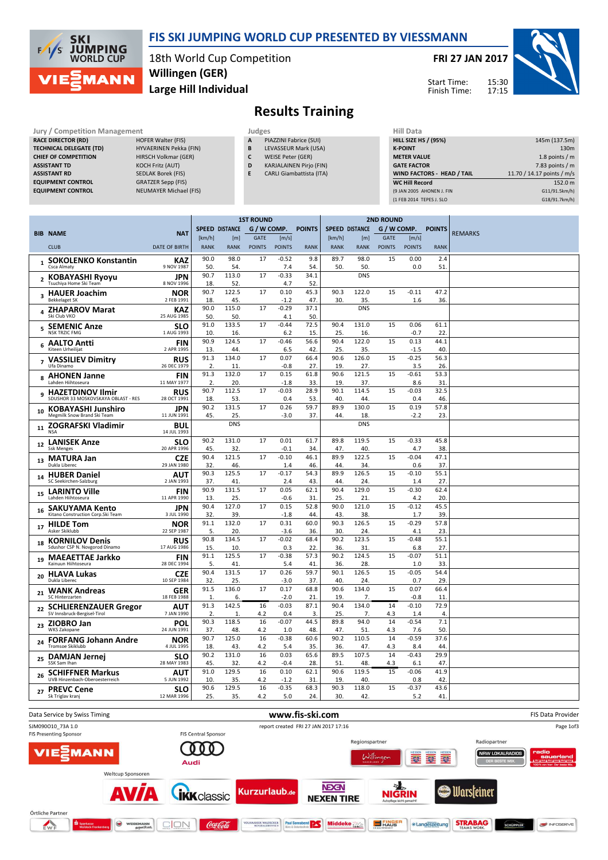

Jury / Comp

## FIS SKI JUMPING WORLD CUP PRESENTED BY VIESSMANN

18th World Cup Competition Large Hill Individual Willingen (GER)

FRI 27 JAN 2017





 $152.0 m$  $G11/91.5km/h$ G18/91.7km/h)

## Results Training

| Jury / Competition Management  |                           |   | Judges                          | Hill Data                         |                            |  |  |
|--------------------------------|---------------------------|---|---------------------------------|-----------------------------------|----------------------------|--|--|
| <b>RACE DIRECTOR (RD)</b>      | <b>HOFER Walter (FIS)</b> | A | PIAZZINI Fabrice (SUI)          | <b>HILL SIZE HS / (95%)</b>       | 145m (137.5m)              |  |  |
| <b>TECHNICAL DELEGATE (TD)</b> | HYVAERINEN Pekka (FIN)    | B | LEVASSEUR Mark (USA)            | <b>K-POINT</b>                    | 130m                       |  |  |
| <b>CHIEF OF COMPETITION</b>    | HIRSCH Volkmar (GER)      | C | WEISE Peter (GER)               | <b>METER VALUE</b>                | 1.8 points / $m$           |  |  |
| <b>ASSISTANT TD</b>            | <b>KOCH Fritz (AUT)</b>   | D | <b>KARJALAINEN Pirjo (FIN)</b>  | <b>GATE FACTOR</b>                | 7.83 points / m            |  |  |
| <b>ASSISTANT RD</b>            | SEDLAK Borek (FIS)        |   | <b>CARLI Giambattista (ITA)</b> | <b>WIND FACTORS - HEAD / TAIL</b> | 11.70 / 14.17 points / m/s |  |  |
| <b>EQUIPMENT CONTROL</b>       | <b>GRATZER Sepp (FIS)</b> |   |                                 | <b>WC Hill Record</b>             | 152.0 m                    |  |  |
| <b>EQUIPMENT CONTROL</b>       | NEUMAYER Michael (FIS)    |   |                                 | (9 JAN 2005 AHONEN J. FIN         | G11/91.5km/h)              |  |  |
|                                |                           |   |                                 | (1 FEB 2014 TEPES J. SLO          | G18/91.7km/hl              |  |  |

|                          |                                                                |                           | <b>1ST ROUND</b> |                       |               |                     |               | <b>2ND ROUND</b>      |              |               |                |                       |                |
|--------------------------|----------------------------------------------------------------|---------------------------|------------------|-----------------------|---------------|---------------------|---------------|-----------------------|--------------|---------------|----------------|-----------------------|----------------|
|                          | <b>BIB NAME</b>                                                | <b>NAT</b>                |                  | <b>SPEED DISTANCE</b> | G / W COMP.   |                     | <b>POINTS</b> | <b>SPEED DISTANCE</b> |              | G / W COMP.   |                | <b>POINTS</b>         | <b>REMARKS</b> |
|                          |                                                                |                           | [km/h]           | [ <sub>m</sub> ]      | GATE          | $\lceil m/s \rceil$ |               | [km/h]                | [m]          | <b>GATE</b>   | [m/s]          |                       |                |
|                          | <b>CLUB</b>                                                    | <b>DATE OF BIRTH</b>      | <b>RANK</b>      | <b>RANK</b>           | <b>POINTS</b> | <b>POINTS</b>       | <b>RANK</b>   | <b>RANK</b>           | <b>RANK</b>  | <b>POINTS</b> | <b>POINTS</b>  | <b>RANK</b>           |                |
|                          | 1 SOKOLENKO Konstantin                                         | <b>KAZ</b>                | 90.0             | 98.0                  | 17            | $-0.52$             | 9.8           | 89.7                  | 98.0         | 15            | 0.00           | 2.4                   |                |
|                          | Csca Almaty                                                    | 9 NOV 1987                | 50.              | 54.                   |               | 7.4                 | 54.           | 50.                   | 50           |               | 0.0            | 51.                   |                |
|                          | 2 KOBAYASHI Ryoyu                                              | JPN                       | 90.7             | 113.0                 | 17            | $-0.33$             | 34.1          |                       | <b>DNS</b>   |               |                |                       |                |
|                          | Tsuchiya Home Ski Team                                         | 8 NOV 1996                | 18.              | 52.                   |               | 4.7                 | 52.           |                       |              |               |                |                       |                |
|                          | 3 HAUER Joachim                                                | <b>NOR</b>                | 90.7             | 122.5                 | 17            | 0.10                | 45.3          | 90.3                  | 122.0        | 15            | $-0.11$        | 47.2                  |                |
|                          | <b>Bekkelaget SK</b>                                           | 2 FEB 1991                | 18.              | 45.                   |               | $-1.2$              | 47.           | 30.                   | 35.          |               | 1.6            | 36.                   |                |
| 4                        | <b>ZHAPAROV Marat</b><br>Ski Club VKO                          | <b>KAZ</b>                | 90.0             | 115.0                 | 17            | $-0.29$             | 37.1          |                       | <b>DNS</b>   |               |                |                       |                |
|                          |                                                                | 25 AUG 1985               | 50.<br>91.0      | 50.<br>133.5          | 17            | 4.1<br>$-0.44$      | 50.<br>72.5   | 90.4                  | 131.0        | 15            | 0.06           | 61.1                  |                |
| 5                        | <b>SEMENIC Anze</b><br><b>NSK TRZIC FMG</b>                    | <b>SLO</b><br>1 AUG 1993  | 10.              | 16.                   |               | 6.2                 | 15.           | 25.                   | 16.          |               | $-0.7$         | 22                    |                |
|                          | <b>AALTO Antti</b>                                             | <b>FIN</b>                | 90.9             | 124.5                 | 17            | $-0.46$             | 56.6          | 90.4                  | 122.0        | 15            | 0.13           | 44.1                  |                |
| 6                        | Kiteen Urheilijat                                              | 2 APR 1995                | 13.              | 44.                   |               | 6.5                 | 42.           | 25.                   | 35.          |               | $-1.5$         | 40                    |                |
| $\overline{\phantom{a}}$ | <b>VASSILIEV Dimitry</b>                                       | <b>RUS</b>                | 91.3             | 134.0                 | 17            | 0.07                | 66.4          | 90.6                  | 126.0        | 15            | $-0.25$        | 56.3                  |                |
|                          | Ufa Dinamo                                                     | 26 DEC 1979               | $\overline{2}$   | 11.                   |               | $-0.8$              | 27.           | 19                    | 27.          |               | 3.5            | 26.                   |                |
| 8                        | <b>AHONEN Janne</b>                                            | <b>FIN</b>                | 91.3             | 132.0                 | 17            | 0.15                | 61.8          | 90.6                  | 121.5        | 15            | $-0.61$        | 53.3                  |                |
|                          | Lahden Hiihtoseura                                             | 11 MAY 1977               | 2.<br>90.7       | 20.<br>112.5          | 17            | $-1.8$<br>$-0.03$   | 33.<br>28.9   | 19<br>90.1            | 37.<br>114.5 | 15            | 8.6<br>$-0.03$ | 31<br>32.5            |                |
| 9                        | <b>HAZETDINOV Ilmir</b><br>SDUSHOR 33 MOSKOVSKAYA OBLAST - RES | <b>RUS</b><br>28 OCT 1991 | 18               | 53.                   |               | 0.4                 | 53.           | 40                    | 44.          |               | 0.4            | 46.                   |                |
|                          | <b>KOBAYASHI Junshiro</b>                                      | <b>JPN</b>                | 90.2             | 131.5                 | 17            | 0.26                | 59.7          | 89.9                  | 130.0        | 15            | 0.19           | 57.8                  |                |
| 10                       | Megmilk Snow Brand Ski Team                                    | 11 JUN 1991               | 45.              | 25.                   |               | $-3.0$              | 37.           | 44.                   | 18.          |               | $-2.2$         | 23.                   |                |
|                          | <b>ZOGRAFSKI Vladimir</b>                                      | BUL                       |                  | <b>DNS</b>            |               |                     |               |                       | <b>DNS</b>   |               |                |                       |                |
| 11                       | <b>NSA</b>                                                     | 14 JUL 1993               |                  |                       |               |                     |               |                       |              |               |                |                       |                |
| 12                       | <b>LANISEK Anze</b>                                            | <b>SLO</b>                | 90.2             | 131.0                 | 17            | 0.01                | 61.7          | 89.8                  | 119.5        | 15            | $-0.33$        | 45.8                  |                |
|                          | <b>Ssk Menges</b>                                              | 20 APR 1996               | 45.              | 32.                   |               | $-0.1$              | 34.           | 47.                   | 40           |               | 4.7            | 38.                   |                |
| 13                       | <b>MATURA Jan</b>                                              | <b>CZE</b>                | 90.4             | 121.5                 | 17            | $-0.10$             | 46.1          | 89.9                  | 122.5        | 15            | $-0.04$        | 47.1                  |                |
|                          | Dukla Liberec                                                  | 29 JAN 1980               | 32.<br>90.3      | 46.<br>125.5          | 17            | 1.4<br>$-0.17$      | 46.<br>54.3   | 44.<br>89.9           | 34.<br>126.5 | 15            | 0.6<br>$-0.10$ | 37.<br>55.1           |                |
| 14                       | <b>HUBER Daniel</b><br>SC Seekirchen-Salzburg                  | AUT<br>2 JAN 1993         | 37.              | 41.                   |               | 2.4                 | 43.           | 44.                   | 24.          |               | 1.4            | 27.                   |                |
|                          | <b>LARINTO Ville</b>                                           | <b>FIN</b>                | 90.9             | 131.5                 | 17            | 0.05                | 62.1          | 90.4                  | 129.0        | 15            | $-0.30$        | 62.4                  |                |
| 15                       | Lahden Hiihtoseura                                             | 11 APR 1990               | 13.              | 25.                   |               | $-0.6$              | 31.           | 25.                   | 21           |               | 4.2            | 20                    |                |
| 16                       | <b>SAKUYAMA Kento</b>                                          | <b>JPN</b>                | 90.4             | 127.0                 | 17            | 0.15                | 52.8          | 90.0                  | 121.0        | 15            | $-0.12$        | 45.5                  |                |
|                          | Kitano Construction Corp.Ski Team                              | 3 JUL 1990                | 32.              | 39.                   |               | $-1.8$              | 44.           | 43.                   | 38.          |               | 1.7            | 39.                   |                |
| 17                       | <b>HILDE Tom</b>                                               | <b>NOR</b>                | 91.1             | 132.0                 | 17            | 0.31                | 60.0          | 90.3                  | 126.5        | 15            | $-0.29$        | 57.8                  |                |
|                          | Asker Skiklubb                                                 | 22 SEP 1987               | 5.               | 20.                   |               | $-3.6$              | 36.           | 30                    | 24           |               | 4.1            | 23.                   |                |
| 18                       | <b>KORNILOV Denis</b><br>Sdushor CSP N. Novgorod Dinamo        | <b>RUS</b><br>17 AUG 1986 | 90.8<br>15       | 134.5<br>10.          | 17            | $-0.02$<br>0.3      | 68.4<br>22.   | 90.2<br>36.           | 123.5<br>31  | 15            | $-0.48$<br>6.8 | 55.1<br>27            |                |
|                          |                                                                |                           | 91.1             | 125.5                 | 17            | $-0.38$             | 57.3          | 90.2                  | 124.5        | 15            | $-0.07$        | 51.1                  |                |
| 19                       | <b>MAEAETTAE Jarkko</b><br>Kainuun Hiihtoseura                 | <b>FIN</b><br>28 DEC 1994 | 5.               | 41                    |               | 5.4                 | 41.           | 36.                   | 28.          |               | 1.0            | 33.                   |                |
|                          | <b>HLAVA Lukas</b>                                             | <b>CZE</b>                | 90.4             | 131.5                 | 17            | 0.26                | 59.7          | 90.1                  | 126.5        | 15            | $-0.05$        | 54.4                  |                |
| 20                       | Dukla Liberec                                                  | 10 SEP 1984               | 32.              | 25.                   |               | $-3.0$              | 37.           | 40.                   | 24.          |               | 0.7            | 29.                   |                |
| 21                       | <b>WANK Andreas</b>                                            | GER                       | 91.5             | 136.0                 | 17            | 0.17                | 68.8          | 90.6                  | 134.0        | 15            | 0.07           | 66.4                  |                |
|                          | SC Hinterzarten                                                | 18 FEB 1988               | 1.               | 6.                    |               | $-2.0$              | 21            | 19                    | 7.           |               | $-0.8$         | 11                    |                |
| 22                       | <b>SCHLIERENZAUER Gregor</b>                                   | AUT                       | 91.3             | 142.5                 | 16            | $-0.03$             | 87.1          | 90.4                  | 134.0        | 14            | $-0.10$        | 72.9                  |                |
|                          | SV Innsbruck-Bergisel-Tirol                                    | 7 JAN 1990                | 2<br>90.3        | $\mathbf{1}$<br>118.5 | 4.2<br>16     | 0.4<br>$-0.07$      | 3.<br>44.5    | 25.<br>89.8           | 7.<br>94.0   | 4.3<br>14     | 1.4<br>$-0.54$ | $\overline{4}$<br>7.1 |                |
| 23                       | <b>ZIOBRO Jan</b><br>WKS Zakopane                              | POL<br>24 JUN 1991        | 37.              | 48.                   | 4.2           | 1.0                 | 48.           | 47.                   | 51.          | 4.3           | 7.6            | 50                    |                |
|                          | <b>FORFANG Johann Andre</b>                                    | <b>NOR</b>                | 90.7             | 125.0                 | 16            | $-0.38$             | 60.6          | 90.2                  | 110.5        | 14            | $-0.59$        | 37.6                  |                |
| 24                       | <b>Tromsoe Skiklubb</b>                                        | 4 JUL 1995                | 18.              | 43.                   | 4.2           | 5.4                 | 35.           | 36.                   | 47.          | 4.3           | 8.4            | 44                    |                |
| 25                       | DAMJAN Jernej                                                  | <b>SLO</b>                | 90.2             | 131.0                 | 16            | 0.03                | 65.6          | 89.5                  | 107.5        | 14            | $-0.43$        | 29.9                  |                |
|                          | SSK Sam Ihan                                                   | 28 MAY 1983               | 45.              | 32.                   | 4.2           | $-0.4$              | 28.           | 51.                   | 48           | 4.3           | 6.1            | 47.                   |                |
| 26                       | <b>SCHIFFNER Markus</b>                                        | AUT                       | 91.0             | 129.5                 | 16            | 0.10                | 62.1          | 90.6                  | 119.5        | 15            | $-0.06$        | 41.9                  |                |
|                          | UVB Hinzenbach-Oberoesterreich                                 | 5 JUN 1992                | 10.              | 35.                   | 4.2           | $-1.2$              | 31.           | 19.                   | 40           |               | 0.8            | 42                    |                |
| 27                       | <b>PREVC Cene</b><br>Sk Triglav kranj                          | <b>SLO</b><br>12 MAR 1996 | 90.6<br>25.      | 129.5<br>35.          | 16<br>4.2     | $-0.35$<br>5.0      | 68.3<br>24.   | 90.3<br>30.           | 118.0<br>42. | 15            | $-0.37$<br>5.2 | 43.6<br>41            |                |
|                          |                                                                |                           |                  |                       |               |                     |               |                       |              |               |                |                       |                |

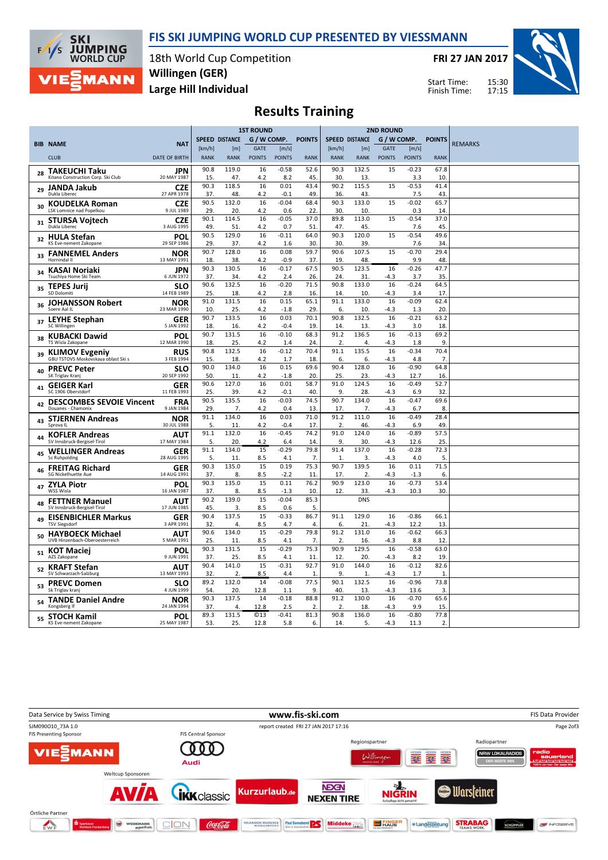

 $F/1/s$ 

MANN

FRI 27 JAN 2017

Start Time: Finish Time:



Large Hill Individual Willingen (GER)

Results Training

|    |                                                              |                           | <b>1ST ROUND</b> |                       |                  |                |               | <b>2ND ROUND</b>      |                       |               |                 |                        |                |
|----|--------------------------------------------------------------|---------------------------|------------------|-----------------------|------------------|----------------|---------------|-----------------------|-----------------------|---------------|-----------------|------------------------|----------------|
|    | <b>BIB NAME</b>                                              | <b>NAT</b>                |                  | <b>SPEED DISTANCE</b> | G / W COMP.      |                | <b>POINTS</b> | <b>SPEED DISTANCE</b> |                       |               | G / W COMP.     | <b>POINTS</b>          | <b>REMARKS</b> |
|    |                                                              |                           | [km/h]           | [m]                   | <b>GATE</b>      | [m/s]          |               | [km/h]                | [m]                   | <b>GATE</b>   | [m/s]           |                        |                |
|    | <b>CLUB</b>                                                  | <b>DATE OF BIRTH</b>      | <b>RANK</b>      | <b>RANK</b>           | <b>POINTS</b>    | <b>POINTS</b>  | <b>RANK</b>   | <b>RANK</b>           | <b>RANK</b>           | <b>POINTS</b> | <b>POINTS</b>   | <b>RANK</b>            |                |
| 28 | <b>TAKEUCHI Taku</b><br>Kitano Construction Corp. Ski Club   | JPN<br>20 MAY 1987        | 90.8<br>15.      | 119.0<br>47.          | 16<br>4.2        | $-0.58$<br>8.2 | 52.6<br>45.   | 90.3<br>30.           | 132.5<br>13.          | 15            | $-0.23$<br>3.3  | 67.8<br>10.            |                |
| 29 | <b>JANDA Jakub</b>                                           | <b>CZE</b>                | 90.3             | 118.5                 | 16               | 0.01           | 43.4          | 90.2                  | 115.5                 | 15            | $-0.53$         | 41.4                   |                |
|    | Dukla Liberec                                                | 27 APR 1978               | 37.              | 48.                   | 4.2              | $-0.1$         | 49.           | 36.                   | 43.                   |               | 7.5             | 43.                    |                |
| 30 | <b>KOUDELKA Roman</b><br>LSK Lomnice nad Popelkou            | <b>CZE</b><br>9 JUL 1989  | 90.5<br>29.      | 132.0<br>20.          | 16<br>4.2        | $-0.04$<br>0.6 | 68.4<br>22.   | 90.3<br>30.           | 133.0<br>10.          | 15            | $-0.02$<br>0.3  | 65.7<br>14.            |                |
| 31 | <b>STURSA Vojtech</b><br>Dukla Liberec                       | <b>CZE</b><br>3 AUG 1995  | 90.1<br>49.      | 114.5<br>51.          | 16<br>4.2        | $-0.05$<br>0.7 | 37.0<br>51    | 89.8<br>47            | 113.0<br>45           | 15            | $-0.54$<br>7.6  | 37.0<br>45.            |                |
| 32 | <b>HULA Stefan</b><br>KS Eve-nement Zakopane                 | <b>POL</b><br>29 SEP 1986 | 90.5<br>29.      | 129.0<br>37.          | 16<br>4.2        | $-0.11$<br>1.6 | 64.0<br>30    | 90.3<br>30.           | 120.0<br>39           | 15            | $-0.54$<br>7.6  | 49.6<br>34.            |                |
| 33 | <b>FANNEMEL Anders</b><br>Hornindal II                       | <b>NOR</b><br>13 MAY 1991 | 90.7<br>18       | 128.0<br>38.          | 16<br>4.2        | 0.08<br>$-0.9$ | 59.7<br>37.   | 90.6<br>19            | 107.5<br>48.          | 15            | $-0.70$<br>9.9  | 29.4<br>48.            |                |
|    | KASAI Noriaki                                                | <b>JPN</b>                | 90.3             | 130.5                 | 16               | $-0.17$        | 67.5          | 90.5                  | 123.5                 | 16            | $-0.26$         | 47.7                   |                |
| 34 | Tsuchiya Home Ski Team                                       | 6 JUN 1972                | 37.              | 34.                   | 4.2              | 2.4            | 26.           | 24                    | 31                    | -4.3          | 3.7             | 35.                    |                |
| 35 | <b>TEPES Jurii</b><br>SD Dolomiti                            | <b>SLO</b><br>14 FEB 1989 | 90.6<br>25.      | 132.5<br>18.          | 16<br>4.2        | $-0.20$<br>2.8 | 71.5<br>16.   | 90.8<br>14            | 133.0<br>10.          | 16<br>-4.3    | $-0.24$<br>3.4  | 64.5<br>17.            |                |
|    | <b>JOHANSSON Robert</b>                                      | <b>NOR</b>                | 91.0             | 131.5                 | 16               | 0.15           | 65.1          | 91.1                  | 133.0                 | 16            | $-0.09$         | 62.4                   |                |
| 36 | Soere Aal IL                                                 | 23 MAR 1990               | 10               | 25.                   | 4.2              | $-1.8$         | 29.           | 6.                    | 10                    | $-4.3$        | 1.3             | 20.                    |                |
| 37 | <b>LEYHE Stephan</b><br>SC Willingen                         | <b>GER</b><br>5 JAN 1992  | 90.7<br>18       | 133.5<br>16.          | 16<br>4.2        | 0.03<br>$-0.4$ | 70.1<br>19.   | 90.8<br>14            | 132.5<br>13           | 16<br>-4.3    | $-0.21$<br>3.0  | 63.2<br>18.            |                |
| 38 | <b>KUBACKI Dawid</b>                                         | POL                       | 90.7             | 131.5                 | 16               | $-0.10$        | 68.3          | 91.2                  | 136.5                 | 16            | $-0.13$         | 69.2                   |                |
|    | TS Wisla Zakopane                                            | 12 MAR 1990               | 18               | 25.                   | 4.2              | 1.4            | 24.           | 2.                    | 4.                    | -4.3          | 1.8             | 9.                     |                |
| 39 | <b>KLIMOV Evgeniy</b><br>GBU TSTOVS Moskovskaya oblast Ski s | <b>RUS</b><br>3 FEB 1994  | 90.8<br>15       | 132.5<br>18.          | 16               | $-0.12$<br>1.7 | 70.4<br>18.   | 91.1<br>6.            | 135.5<br>6.           | 16            | $-0.34$<br>4.8  | 70.4<br>7 <sub>1</sub> |                |
|    | <b>PREVC Peter</b>                                           | SLO                       | 90.0             | 134.0                 | 4.2<br>16        | 0.15           | 69.6          | 90.4                  | 128.0                 | $-4.3$<br>16  | $-0.90$         | 64.8                   |                |
| 40 | SK Triglav Kranj                                             | 20 SEP 1992               | 50               | 11.                   | 4.2              | $-1.8$         | 20            | 25.                   | 23                    | -4.3          | 12.7            | 16.                    |                |
| 41 | <b>GEIGER Karl</b><br>SC 1906 Oberstdorf                     | <b>GER</b><br>11 FEB 1993 | 90.6<br>25.      | 127.0<br>39.          | 16<br>4.2        | 0.01<br>$-0.1$ | 58.7<br>40    | 91.0<br>9.            | 124.5<br>28.          | 16<br>-4.3    | $-0.49$<br>6.9  | 52.7<br>32.            |                |
|    | <b>DESCOMBES SEVOIE Vincent</b>                              | <b>FRA</b>                | 90.5             | 135.5                 | 16               | $-0.03$        | 74.5          | 90.7                  | 134.0                 | 16            | $-0.47$         | 69.6                   |                |
| 42 | Douanes - Chamonix                                           | 9 JAN 1984                | 29.              | 7.                    | 4.2              | 0.4            | 13.           | 17.                   | 7.                    | -4.3          | 6.7             | 8.                     |                |
| 43 | <b>STJERNEN Andreas</b>                                      | <b>NOR</b>                | 91.1             | 134.0                 | 16               | 0.03           | 71.0          | 91.2                  | 111.0                 | 16            | $-0.49$         | 28.4                   |                |
|    | Sprova IL                                                    | 30 JUL 1988               | 5.               | 11.                   | 4.2              | $-0.4$         | 17.           | 2.                    | 46.                   | -4.3          | 6.9             | 49.                    |                |
|    | <b>KOFLER Andreas</b><br>SV Innsbruck-Bergisel-Tirol         | AUT<br>17 MAY 1984        | 91.1<br>5.       | 132.0<br>20.          | 16<br>4.2        | $-0.45$<br>6.4 | 74.2<br>14    | 91.0<br>9.            | 124.0<br>30.          | 16<br>$-4.3$  | $-0.89$<br>12.6 | 57.5<br>25.            |                |
|    | <b>WELLINGER Andreas</b>                                     | <b>GER</b>                | 91.1             | 134.0                 | 15               | $-0.29$        | 79.8          | 91.4                  | 137.0                 | 16            | $-0.28$         | 72.3                   |                |
| 45 | Sc Ruhpolding                                                | 28 AUG 1995               | 5.               | 11.                   | 8.5              | 4.1            | 7.            | $\mathbf{1}$          | 3.                    | $-4.3$        | 4.0             | 5.                     |                |
| 46 | <b>FREITAG Richard</b><br>SG Nickelhuette Aue                | <b>GER</b><br>14 AUG 1991 | 90.3<br>37.      | 135.0<br>8.           | 15<br>8.5        | 0.19<br>$-2.2$ | 75.3<br>11    | 90.7<br>17.           | 139.5<br>2.           | 16<br>-4.3    | 0.11<br>$-1.3$  | 71.5<br>6.             |                |
| 47 | <b>ZYLA Piotr</b>                                            | <b>POL</b>                | 90.3             | 135.0                 | 15               | 0.11           | 76.2          | 90.9                  | 123.0                 | 16            | $-0.73$         | 53.4                   |                |
|    | WSS Wisla                                                    | 16 JAN 1987               | 37.              | 8.                    | 8.5              | $-1.3$         | 10            | 12.                   | 33.                   | $-4.3$        | 10.3            | 30.                    |                |
| 48 | <b>FETTNER Manuel</b>                                        | <b>AUT</b>                | 90.2             | 139.0                 | 15               | $-0.04$        | 85.3          |                       | <b>DNS</b>            |               |                 |                        |                |
|    | SV Innsbruck-Bergisel-Tirol                                  | 17 JUN 1985<br><b>GER</b> | 45.<br>90.4      | 3.<br>137.5           | 8.5<br>15        | 0.6<br>$-0.33$ | 5.<br>86.7    | 91.1                  | 129.0                 | 16            | $-0.86$         | 66.1                   |                |
| 49 | <b>EISENBICHLER Markus</b><br><b>TSV Siegsdorf</b>           | 3 APR 1991                | 32.              | 4.                    | 8.5              | 4.7            | 4.            | 6.                    | 21.                   | -4.3          | 12.2            | 13.                    |                |
| 50 | <b>HAYBOECK Michael</b>                                      | AUT                       | 90.6             | 134.0                 | 15               | $-0.29$        | 79.8          | 91.2                  | 131.0                 | 16            | $-0.62$         | 66.3                   |                |
|    | UVB Hinzenbach-Oberoesterreich                               | 5 MAR 1991                | 25.              | 11.                   | 8.5              | 4.1            | 7.            | 2.                    | 16.                   | $-4.3$        | 8.8             | 12.                    |                |
| 51 | <b>KOT Maciej</b><br>AZS Zakopane                            | POL<br>9 JUN 1991         | 90.3<br>37.      | 131.5<br>25.          | 15<br>8.5        | $-0.29$<br>4.1 | 75.3<br>11    | 90.9<br>12            | 129.5<br>20.          | 16<br>-4.3    | $-0.58$<br>8.2  | 63.0<br>19.            |                |
| 52 | <b>KRAFT Stefan</b><br>SV Schwarzach-Salzburg                | AUT<br>13 MAY 1993        | 90.4<br>32.      | 141.0<br>2.           | 15<br>8.5        | $-0.31$<br>4.4 | 92.7<br>1     | 91.0<br>9.            | 144.0<br>$\mathbf{1}$ | 16<br>-4.3    | $-0.12$<br>1.7  | 82.6<br>$\mathbf{1}$   |                |
|    | <b>PREVC Domen</b>                                           | SLO                       | 89.2             | 132.0                 | 14               | $-0.08$        | 77.5          | 90.1                  | 132.5                 | 16            | $-0.96$         | 73.8                   |                |
| 53 | Sk Triglav krani                                             | 4 JUN 1999                | 54.              | 20.                   | 12.8             | 1.1            | 9.            | 40.                   | 13                    | $-4.3$        | 13.6            | 3.                     |                |
| 54 | <b>TANDE Daniel Andre</b><br>Kongsberg If                    | <b>NOR</b><br>24 JAN 1994 | 90.3<br>37.      | 137.5<br>4.           | 14<br>12.8       | $-0.18$<br>2.5 | 88.8<br>2.    | 91.2<br>2             | 130.0<br>18           | 16<br>-4.3    | $-0.70$<br>9.9  | 65.6<br>15.            |                |
|    | <b>STOCH Kamil</b>                                           | POL                       | 89.3             | 131.5                 | $\overline{613}$ | $-0.41$        | 81.3          | 90.8                  | 136.0                 | 16            | $-0.80$         | 77.8                   |                |
| 55 | KS Eve-nement Zakopane                                       | 25 MAY 1987               | 53.              | 25.                   | 12.8             | 5.8            | 6.            | 14.                   | 5.                    | $-4.3$        | 11.3            | 2.                     |                |